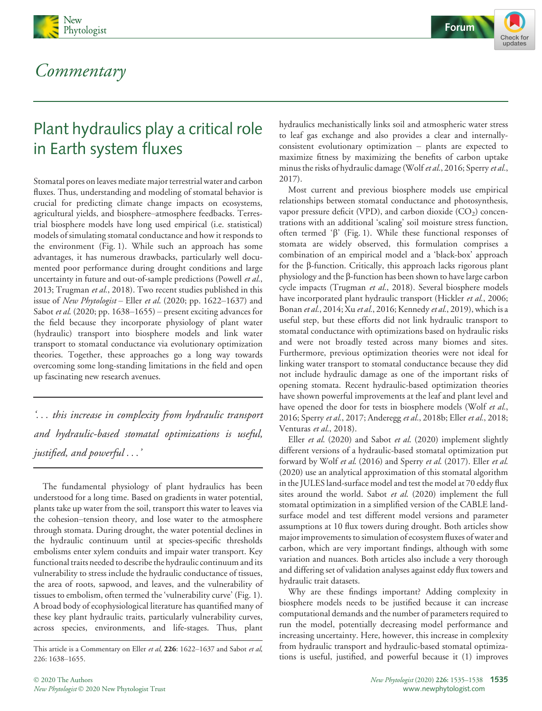





# Plant hydraulics play a critical role in Earth system fluxes

Stomatal pores on leaves mediate major terrestrial water and carbon fluxes. Thus, understanding and modeling of stomatal behavior is crucial for predicting climate change impacts on ecosystems, agricultural yields, and biosphere–atmosphere feedbacks. Terrestrial biosphere models have long used empirical (i.e. statistical) models of simulating stomatal conductance and how it responds to the environment (Fig. 1). While such an approach has some advantages, it has numerous drawbacks, particularly well documented poor performance during drought conditions and large uncertainty in future and out-of-sample predictions (Powell et al., 2013; Trugman et al., 2018). Two recent studies published in this issue of New Phytologist – Eller et al. (2020; pp. 1622–1637) and Sabot et al. (2020; pp. 1638–1655) – present exciting advances for the field because they incorporate physiology of plant water (hydraulic) transport into biosphere models and link water transport to stomatal conductance via evolutionary optimization theories. Together, these approaches go a long way towards overcoming some long-standing limitations in the field and open up fascinating new research avenues.

'... this increase in complexity from hydraulic transport and hydraulic-based stomatal optimizations is useful, justified, and powerful ...'

The fundamental physiology of plant hydraulics has been understood for a long time. Based on gradients in water potential, plants take up water from the soil, transport this water to leaves via the cohesion–tension theory, and lose water to the atmosphere through stomata. During drought, the water potential declines in the hydraulic continuum until at species-specific thresholds embolisms enter xylem conduits and impair water transport. Key functional traits needed to describe the hydraulic continuum and its vulnerability to stress include the hydraulic conductance of tissues, the area of roots, sapwood, and leaves, and the vulnerability of tissues to embolism, often termed the 'vulnerability curve' (Fig. 1). A broad body of ecophysiological literature has quantified many of these key plant hydraulic traits, particularly vulnerability curves, across species, environments, and life-stages. Thus, plant

hydraulics mechanistically links soil and atmospheric water stress to leaf gas exchange and also provides a clear and internallyconsistent evolutionary optimization – plants are expected to maximize fitness by maximizing the benefits of carbon uptake minus the risks of hydraulic damage (Wolf et al., 2016; Sperry et al., 2017).

Most current and previous biosphere models use empirical relationships between stomatal conductance and photosynthesis, vapor pressure deficit (VPD), and carbon dioxide  $(CO<sub>2</sub>)$  concentrations with an additional 'scaling' soil moisture stress function, often termed ' $\beta$ ' (Fig. 1). While these functional responses of stomata are widely observed, this formulation comprises a combination of an empirical model and a 'black-box' approach for the b-function. Critically, this approach lacks rigorous plant physiology and the  $\beta$ -function has been shown to have large carbon cycle impacts (Trugman et al., 2018). Several biosphere models have incorporated plant hydraulic transport (Hickler et al., 2006; Bonan et al., 2014; Xu et al., 2016; Kennedy et al., 2019), which is a useful step, but these efforts did not link hydraulic transport to stomatal conductance with optimizations based on hydraulic risks and were not broadly tested across many biomes and sites. Furthermore, previous optimization theories were not ideal for linking water transport to stomatal conductance because they did not include hydraulic damage as one of the important risks of opening stomata. Recent hydraulic-based optimization theories have shown powerful improvements at the leaf and plant level and have opened the door for tests in biosphere models (Wolf et al., 2016; Sperry et al., 2017; Anderegg et al., 2018b; Eller et al., 2018; Venturas et al., 2018).

Eller et al. (2020) and Sabot et al. (2020) implement slightly different versions of a hydraulic-based stomatal optimization put forward by Wolf et al. (2016) and Sperry et al. (2017). Eller et al. (2020) use an analytical approximation of this stomatal algorithm in the JULES land-surface model and test the model at 70 eddy flux sites around the world. Sabot et al. (2020) implement the full stomatal optimization in a simplified version of the CABLE landsurface model and test different model versions and parameter assumptions at 10 flux towers during drought. Both articles show major improvements to simulation of ecosystem fluxes of water and carbon, which are very important findings, although with some variation and nuances. Both articles also include a very thorough and differing set of validation analyses against eddy flux towers and hydraulic trait datasets.

Why are these findings important? Adding complexity in biosphere models needs to be justified because it can increase computational demands and the number of parameters required to run the model, potentially decreasing model performance and increasing uncertainty. Here, however, this increase in complexity from hydraulic transport and hydraulic-based stomatal optimizations is useful, justified, and powerful because it (1) improves

This article is a Commentary on Eller et al, 226: 1622-1637 and Sabot et al, 226: 1638–1655.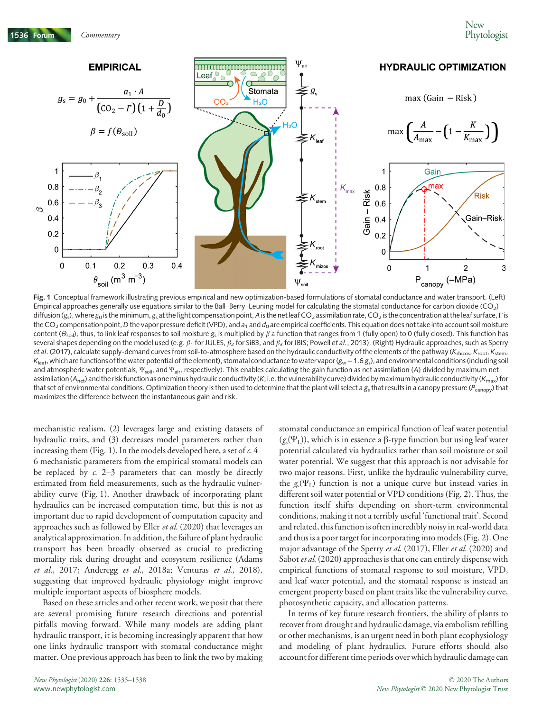

Fig. 1 Conceptual framework illustrating previous empirical and new optimization-based formulations of stomatal conductance and water transport. (Left) Empirical approaches generally use equations similar to the Ball–Berry–Leuning model for calculating the stomatal conductance for carbon dioxide (CO<sub>2</sub>)  $diffusion(g<sub>o</sub>)$ , where  $g<sub>o</sub>$  is the minimum, g<sub>s</sub> at the light compensation point, A is the net leaf CO<sub>2</sub> assimilation rate, CO<sub>2</sub> is the concentration at the leaf surface, Γ is the CO<sub>2</sub> compensation point, D the vapor pressure deficit (VPD), and  $a_1$  and  $d_0$  are empirical coefficients. This equation does not take into account soil moisture content ( $\Theta_{\text{coll}}$ ), thus, to link leaf responses to soil moisture g<sub>s</sub> is multiplied by  $\beta$  a function that ranges from 1 (fully open) to 0 (fully closed). This function has several shapes depending on the model used (e.g.  $\beta_1$  for JULES,  $\beta_2$  for SiB3, and  $\beta_3$  for IBIS; Powell et al., 2013). (Right) Hydraulic approaches, such as Sperry et al. (2017), calculate supply-demand curves from soil-to-atmosphere based on the hydraulic conductivity of the elements of the pathway ( $K_{\text{rhizos}}$ ,  $K_{\text{root}}$ ,  $K_{\text{stem}}$ ,  $K_{\text{leaf}}$ , which are functions of the water potential of the element), stomatal conductance to water vapor ( $g_w = 1.6 g_s$ ), and environmental conditions (including soil and atmospheric water potentials,  $\Psi_{\text{solt}}$ , and  $\Psi_{\text{air}}$ , respectively). This enables calculating the gain function as net assimilation (A) divided by maximum net assimilation ( $A_{net}$ ) and the risk function as one minus hydraulic conductivity (K; i.e. the vulnerability curve) divided by maximum hydraulic conductivity ( $K_{max}$ ) for that set of environmental conditions. Optimization theory is then used to determine that the plant will select a  $g<sub>s</sub>$  that results in a canopy pressure ( $P_{canony}$ ) that maximizes the difference between the instantaneous gain and risk.

mechanistic realism, (2) leverages large and existing datasets of hydraulic traits, and (3) decreases model parameters rather than increasing them (Fig. 1). In the models developed here, a set of  $c$ . 4– 6 mechanistic parameters from the empirical stomatal models can be replaced by  $c$ . 2–3 parameters that can mostly be directly estimated from field measurements, such as the hydraulic vulnerability curve (Fig. 1). Another drawback of incorporating plant hydraulics can be increased computation time, but this is not as important due to rapid development of computation capacity and approaches such as followed by Eller et al. (2020) that leverages an analytical approximation. In addition, the failure of plant hydraulic transport has been broadly observed as crucial to predicting mortality risk during drought and ecosystem resilience (Adams et al., 2017; Anderegg et al., 2018a; Venturas et al., 2018), suggesting that improved hydraulic physiology might improve multiple important aspects of biosphere models.

Based on these articles and other recent work, we posit that there are several promising future research directions and potential pitfalls moving forward. While many models are adding plant hydraulic transport, it is becoming increasingly apparent that how one links hydraulic transport with stomatal conductance might matter. One previous approach has been to link the two by making

stomatal conductance an empirical function of leaf water potential  $(g_s(\Psi_I))$ , which is in essence a  $\beta$ -type function but using leaf water potential calculated via hydraulics rather than soil moisture or soil water potential. We suggest that this approach is not advisable for two major reasons. First, unlike the hydraulic vulnerability curve, the  $g_s(\Psi_L)$  function is not a unique curve but instead varies in different soil water potential or VPD conditions (Fig. 2). Thus, the function itself shifts depending on short-term environmental conditions, making it not a terribly useful 'functional trait'. Second and related, this function is often incredibly noisy in real-world data and thus is a poor target for incorporating into models (Fig. 2). One major advantage of the Sperry et al. (2017), Eller et al. (2020) and Sabot et al. (2020) approaches is that one can entirely dispense with empirical functions of stomatal response to soil moisture, VPD, and leaf water potential, and the stomatal response is instead an emergent property based on plant traits like the vulnerability curve, photosynthetic capacity, and allocation patterns.

In terms of key future research frontiers, the ability of plants to recover from drought and hydraulic damage, via embolism refilling or other mechanisms, is an urgent need in both plant ecophysiology and modeling of plant hydraulics. Future efforts should also account for different time periods over which hydraulic damage can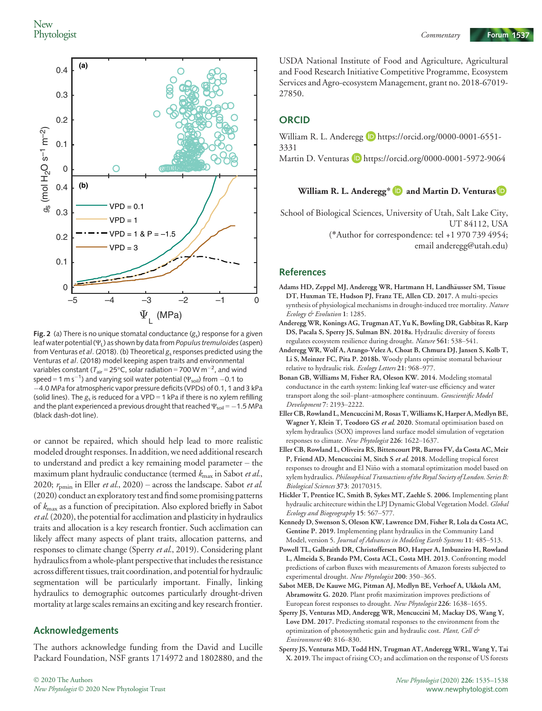

**Fig. 2** (a) There is no unique stomatal conductance  $(g<sub>s</sub>)$  response for a given leaf water potential ( $\Psi$ <sub>L</sub>) as shown by data from *Populus tremuloides* (aspen) from Venturas et al. (2018). (b) Theoretical  $g_s$  responses predicted using the Venturas et al. (2018) model keeping aspen traits and environmental variables constant ( $T_{\rm air}$ =25°C, solar radiation = 700 W m $^{-2}$ , and wind speed = 1 m s<sup>-1</sup>) and varying soil water potential ( $\Psi_{\rm soil}$ ) from -0.1 to 4.0 MPa for atmospheric vapor pressure deficits (VPDs) of 0.1, 1 and 3 kPa (solid lines). The  $g_s$  is reduced for a VPD = 1 kPa if there is no xylem refilling and the plant experienced a previous drought that reached  $\Psi_{\text{sol}} = -1.5$  MPa (black dash-dot line).

or cannot be repaired, which should help lead to more realistic modeled drought responses. In addition, we need additional research to understand and predict a key remaining model parameter – the maximum plant hydraulic conductance (termed  $k_{\text{max}}$  in Sabot et al., 2020;  $r_{\text{pmin}}$  in Eller *et al.*, 2020) – across the landscape. Sabot *et al.* (2020) conduct an exploratory test and find some promising patterns of  $k_{\text{max}}$  as a function of precipitation. Also explored briefly in Sabot et al. (2020), the potential for acclimation and plasticity in hydraulics traits and allocation is a key research frontier. Such acclimation can likely affect many aspects of plant traits, allocation patterns, and responses to climate change (Sperry et al., 2019). Considering plant hydraulics from a whole-plant perspective that includes the resistance across different tissues, trait coordination, and potential for hydraulic segmentation will be particularly important. Finally, linking hydraulics to demographic outcomes particularly drought-driven mortality at large scales remains an exciting and key research frontier.

#### Acknowledgements

The authors acknowledge funding from the David and Lucille Packard Foundation, NSF grants 1714972 and 1802880, and the

USDA National Institute of Food and Agriculture, Agricultural and Food Research Initiative Competitive Programme, Ecosystem Services and Agro-ecosystem Management, grant no. 2018-67019- 27850.

## **ORCID**

William R. L. Anderegg D https://orcid.org/0000-0001-6551-3331 Martin D. Venturas D https://orcid.org/0000-0001-5972-9064

## William R. L. Anderegg\*  $\blacksquare$  and Martin D. Venturas  $\blacksquare$

School of Biological Sciences, University of Utah, Salt Lake City, UT 84112, USA (\*Author for correspondence: tel +1 970 739 4954; email anderegg@utah.edu)

#### References

- Adams HD, Zeppel MJ, Anderegg WR, Hartmann H, Landhäusser SM, Tissue DT, Huxman TE, Hudson PJ, Franz TE, Allen CD. 2017. A multi-species synthesis of physiological mechanisms in drought-induced tree mortality. Nature Ecology & Evolution 1: 1285.
- Anderegg WR, Konings AG, Trugman AT, Yu K, Bowling DR, Gabbitas R, Karp DS, Pacala S, Sperry JS, Sulman BN. 2018a. Hydraulic diversity of forests regulates ecosystem resilience during drought. Nature 561: 538–541.
- Anderegg WR, Wolf A, Arango-Velez A, Choat B, Chmura DJ, Jansen S, Kolb T, Li S, Meinzer FC, Pita P. 2018b. Woody plants optimise stomatal behaviour relative to hydraulic risk. Ecology Letters 21: 968–977.
- Bonan GB, Williams M, Fisher RA, Oleson KW. 2014. Modeling stomatal conductance in the earth system: linking leaf water-use efficiency and water transport along the soil–plant–atmosphere continuum. Geoscientific Model Development 7: 2193–2222.
- Eller CB, Rowland L, Mencuccini M, Rosas T, Williams K, Harper A, Medlyn BE, Wagner Y, Klein T, Teodoro GS et al. 2020. Stomatal optimisation based on xylem hydraulics (SOX) improves land surface model simulation of vegetation responses to climate. New Phytologist 226: 1622–1637.
- Eller CB, Rowland L, Oliveira RS, Bittencourt PR, Barros FV, da Costa AC, Meir P, Friend AD, Mencuccini M, Sitch S et al. 2018. Modelling tropical forest responses to drought and El Nino with a stomatal optimization model based on ~ xylem hydraulics. Philosophical Transactions of the Royal Society of London. Series B: Biological Sciences 373: 20170315.
- Hickler T, Prentice IC, Smith B, Sykes MT, Zaehle S. 2006. Implementing plant hydraulic architecture within the LPJ Dynamic Global Vegetation Model. Global Ecology and Biogeography 15: 567–577.
- Kennedy D, Swenson S, Oleson KW, Lawrence DM, Fisher R, Lola da Costa AC, Gentine P. 2019. Implementing plant hydraulics in the Community Land Model, version 5. Journal of Advances in Modeling Earth Systems 11: 485–513.
- Powell TL, Galbraith DR, Christoffersen BO, Harper A, Imbuzeiro H, Rowland L, Almeida S, Brando PM, Costa ACL, Costa MH. 2013. Confronting model predictions of carbon fluxes with measurements of Amazon forests subjected to experimental drought. New Phytologist 200: 350-365.
- Sabot MEB, De Kauwe MG, Pitman AJ, Medlyn BE, Verhoef A, Ukkola AM, Abramowitz G. 2020. Plant profit maximization improves predictions of European forest responses to drought. New Phytologist 226: 1638–1655.
- Sperry JS, Venturas MD, Anderegg WR, Mencuccini M, Mackay DS, Wang Y, Love DM. 2017. Predicting stomatal responses to the environment from the optimization of photosynthetic gain and hydraulic cost. Plant, Cell & Environment 40: 816–830.
- Sperry JS, Venturas MD, Todd HN, Trugman AT, Anderegg WRL, Wang Y, Tai  $X. 2019.$  The impact of rising  $CO<sub>2</sub>$  and acclimation on the response of US forests